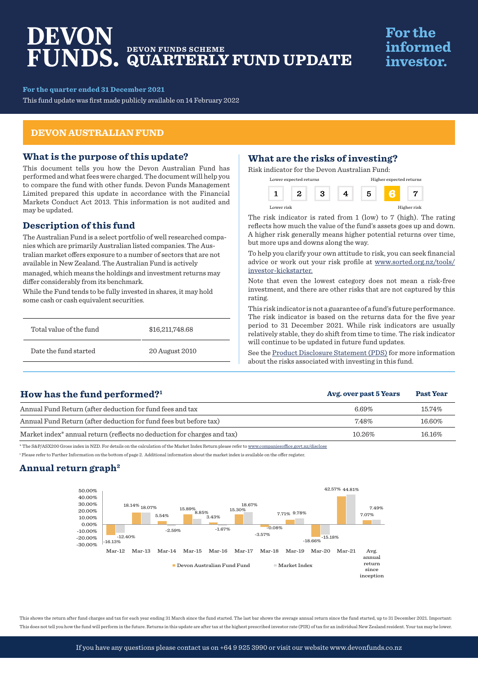# DEVON **DEVON FUNDS SCHEME QUARTERLY FUND UPDATE**

# **For the** informed investor.

**For the quarter ended 31 December 2021**

This fund update was first made publicly available on 14 February 2022

### **DEVON AUSTRALIAN FUND**

### **What is the purpose of this update?**

This document tells you how the Devon Australian Fund has performed and what fees were charged. The document will help you to compare the fund with other funds. Devon Funds Management Limited prepared this update in accordance with the Financial Markets Conduct Act 2013. This information is not audited and may be updated.

## **Description of this fund**

The Australian Fund is a select portfolio of well researched companies which are primarily Australian listed companies. The Australian market offers exposure to a number of sectors that are not available in New Zealand. The Australian Fund is actively managed, which means the holdings and investment returns may differ considerably from its benchmark.

While the Fund tends to be fully invested in shares, it may hold some cash or cash equivalent securities.

| Total value of the fund | \$16,211,748.68 |
|-------------------------|-----------------|
| Date the fund started   | 20 August 2010  |

# **What are the risks of investing?**

Risk indicator for the Devon Australian Fund:

| Lower expected returns |  |  | Higher expected returns |  |             |
|------------------------|--|--|-------------------------|--|-------------|
|                        |  |  |                         |  |             |
| Lower risk             |  |  |                         |  | Higher risk |

The risk indicator is rated from 1 (low) to 7 (high). The rating reflects how much the value of the fund's assets goes up and down. A higher risk generally means higher potential returns over time, but more ups and downs along the way.

To help you clarify your own attitude to risk, you can seek financial advice or work out your risk profile at www.sorted.org.nz/tools/ investor-kickstarter.

Note that even the lowest category does not mean a risk-free investment, and there are other risks that are not captured by this rating.

This risk indicator is not a guarantee of a fund's future performance. The risk indicator is based on the returns data for the five year period to 31 December 2021. While risk indicators are usually relatively stable, they do shift from time to time. The risk indicator will continue to be updated in future fund updates.

See the [Product Disclosure Statement \(PDS\)](https://devonfunds.co.nz/sites/default/files/Devon%20Investment%20Funds%20Product%20Disclosure%20Statement.pdf) for more information about the risks associated with investing in this fund.

**Avg. over past 5 Years Past Year**

# **How has the fund performed?1**

| Annual Fund Return (after deduction for fund fees and tax                           | $6.69\%$ | 15.74% |
|-------------------------------------------------------------------------------------|----------|--------|
| Annual Fund Return (after deduction for fund fees but before tax)                   | 7.48%    | 16.60% |
| Market index <sup>*</sup> annual return (reflects no deduction for charges and tax) | 10.26%   | 16.16% |

\* The S&P/ASX200 Gross index in NZD. For details on the calculation of the Market Index Return please refer to www.companiesoffice.govt.nz/disclose

1 Please refer to Further Information on the bottom of page 2. Additional information about the market index is available on the offer register.

## **Annual return graph2**



This shows the return after fund charges and tax for each year ending 31 March since the fund started. The last bar shows the average annual return since the fund started, up to 31 December 2021. Important This does not tell you how the fund will perform in the future. Returns in this update are after tax at the highest prescribed investor rate (PIR) of tax for an individual New Zealand resident. Your tax may be lower.